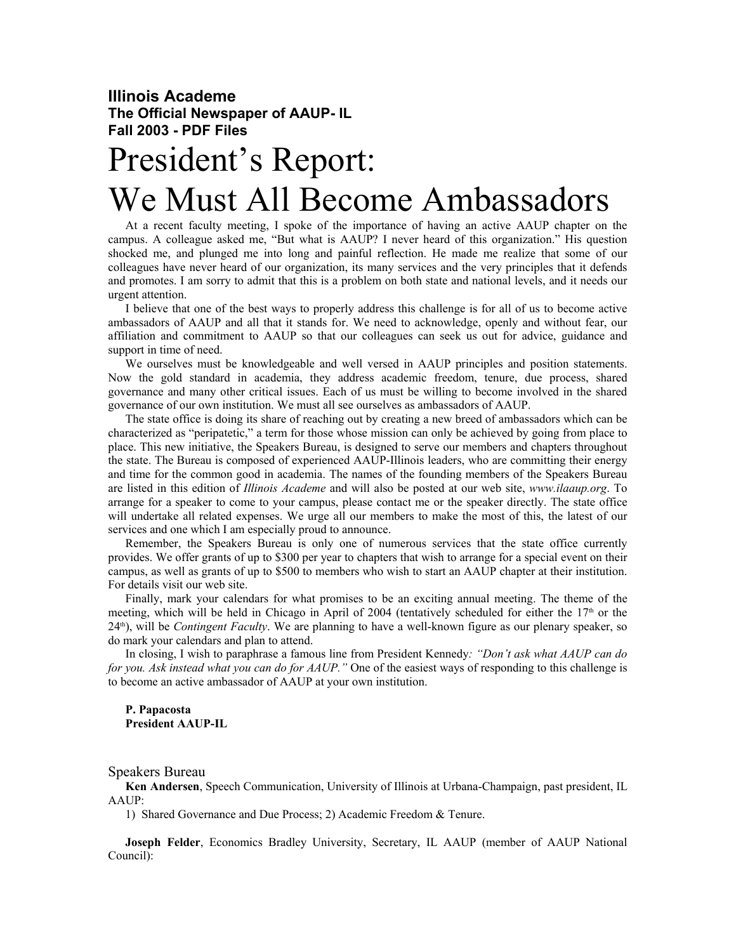## **Illinois Academe The Official Newspaper of AAUP- IL Fall 2003 - PDF Files**

## President's Report: We Must All Become Ambassadors

At a recent faculty meeting, I spoke of the importance of having an active AAUP chapter on the campus. A colleague asked me, "But what is AAUP? I never heard of this organization." His question shocked me, and plunged me into long and painful reflection. He made me realize that some of our colleagues have never heard of our organization, its many services and the very principles that it defends and promotes. I am sorry to admit that this is a problem on both state and national levels, and it needs our urgent attention.

I believe that one of the best ways to properly address this challenge is for all of us to become active ambassadors of AAUP and all that it stands for. We need to acknowledge, openly and without fear, our affiliation and commitment to AAUP so that our colleagues can seek us out for advice, guidance and support in time of need.

We ourselves must be knowledgeable and well versed in AAUP principles and position statements. Now the gold standard in academia, they address academic freedom, tenure, due process, shared governance and many other critical issues. Each of us must be willing to become involved in the shared governance of our own institution. We must all see ourselves as ambassadors of AAUP.

The state office is doing its share of reaching out by creating a new breed of ambassadors which can be characterized as "peripatetic," a term for those whose mission can only be achieved by going from place to place. This new initiative, the Speakers Bureau, is designed to serve our members and chapters throughout the state. The Bureau is composed of experienced AAUP-Illinois leaders, who are committing their energy and time for the common good in academia. The names of the founding members of the Speakers Bureau are listed in this edition of *Illinois Academe* and will also be posted at our web site, *www.ilaaup.org*. To arrange for a speaker to come to your campus, please contact me or the speaker directly. The state office will undertake all related expenses. We urge all our members to make the most of this, the latest of our services and one which I am especially proud to announce.

Remember, the Speakers Bureau is only one of numerous services that the state office currently provides. We offer grants of up to \$300 per year to chapters that wish to arrange for a special event on their campus, as well as grants of up to \$500 to members who wish to start an AAUP chapter at their institution. For details visit our web site.

Finally, mark your calendars for what promises to be an exciting annual meeting. The theme of the meeting, which will be held in Chicago in April of 2004 (tentatively scheduled for either the  $17<sup>th</sup>$  or the 24th), will be *Contingent Faculty*. We are planning to have a well-known figure as our plenary speaker, so do mark your calendars and plan to attend.

In closing, I wish to paraphrase a famous line from President Kennedy*: "Don't ask what AAUP can do for you. Ask instead what you can do for AAUP."* One of the easiest ways of responding to this challenge is to become an active ambassador of AAUP at your own institution.

**P. Papacosta President AAUP-IL**

Speakers Bureau

**Ken Andersen**, Speech Communication, University of Illinois at Urbana-Champaign, past president, IL AAUP:

1) Shared Governance and Due Process; 2) Academic Freedom & Tenure.

**Joseph Felder**, Economics Bradley University, Secretary, IL AAUP (member of AAUP National Council):